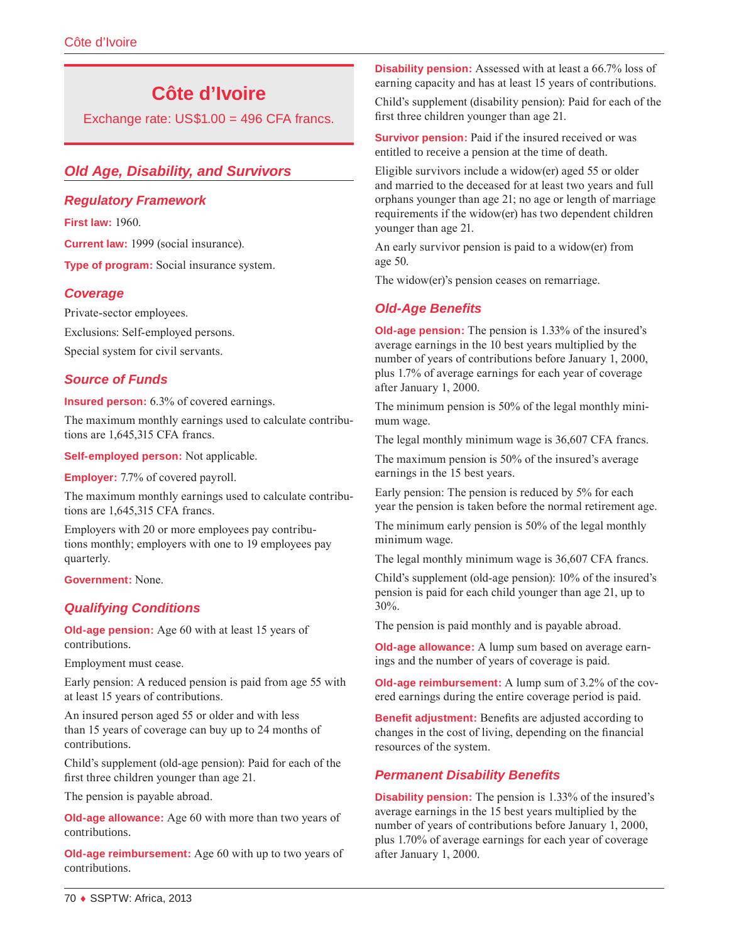# **Côte d'Ivoire**

Exchange rate: US\$1.00 = 496 CFA francs.

# *Old Age, Disability, and Survivors*

#### *Regulatory Framework*

**First law:** 1960.

**Current law:** 1999 (social insurance).

**Type of program:** Social insurance system.

#### *Coverage*

Private-sector employees. Exclusions: Self-employed persons.

Special system for civil servants.

## *Source of Funds*

**Insured person:** 6.3% of covered earnings.

The maximum monthly earnings used to calculate contributions are 1,645,315 CFA francs.

**Self-employed person:** Not applicable.

**Employer:** 7.7% of covered payroll.

The maximum monthly earnings used to calculate contributions are 1,645,315 CFA francs.

Employers with 20 or more employees pay contributions monthly; employers with one to 19 employees pay quarterly.

**Government:** None.

## *Qualifying Conditions*

**Old-age pension:** Age 60 with at least 15 years of contributions.

Employment must cease.

Early pension: A reduced pension is paid from age 55 with at least 15 years of contributions.

An insured person aged 55 or older and with less than 15 years of coverage can buy up to 24 months of contributions.

Child's supplement (old-age pension): Paid for each of the first three children younger than age 21.

The pension is payable abroad.

**Old-age allowance:** Age 60 with more than two years of contributions.

**Old-age reimbursement:** Age 60 with up to two years of contributions.

**Disability pension:** Assessed with at least a 66.7% loss of earning capacity and has at least 15 years of contributions.

Child's supplement (disability pension): Paid for each of the first three children younger than age 21.

**Survivor pension:** Paid if the insured received or was entitled to receive a pension at the time of death.

Eligible survivors include a widow(er) aged 55 or older and married to the deceased for at least two years and full orphans younger than age 21; no age or length of marriage requirements if the widow(er) has two dependent children younger than age 21.

An early survivor pension is paid to a widow(er) from age 50.

The widow(er)'s pension ceases on remarriage.

## *Old-Age Benefits*

**Old-age pension:** The pension is 1.33% of the insured's average earnings in the 10 best years multiplied by the number of years of contributions before January 1, 2000, plus 1.7% of average earnings for each year of coverage after January 1, 2000.

The minimum pension is 50% of the legal monthly minimum wage.

The legal monthly minimum wage is 36,607 CFA francs.

The maximum pension is 50% of the insured's average earnings in the 15 best years.

Early pension: The pension is reduced by 5% for each year the pension is taken before the normal retirement age.

The minimum early pension is 50% of the legal monthly minimum wage.

The legal monthly minimum wage is 36,607 CFA francs.

Child's supplement (old-age pension): 10% of the insured's pension is paid for each child younger than age 21, up to 30%.

The pension is paid monthly and is payable abroad.

**Old-age allowance:** A lump sum based on average earnings and the number of years of coverage is paid.

**Old-age reimbursement:** A lump sum of 3.2% of the covered earnings during the entire coverage period is paid.

**Benefit adjustment:** Benefits are adjusted according to changes in the cost of living, depending on the financial resources of the system.

## *Permanent Disability Benefits*

**Disability pension:** The pension is 1.33% of the insured's average earnings in the 15 best years multiplied by the number of years of contributions before January 1, 2000, plus 1.70% of average earnings for each year of coverage after January 1, 2000.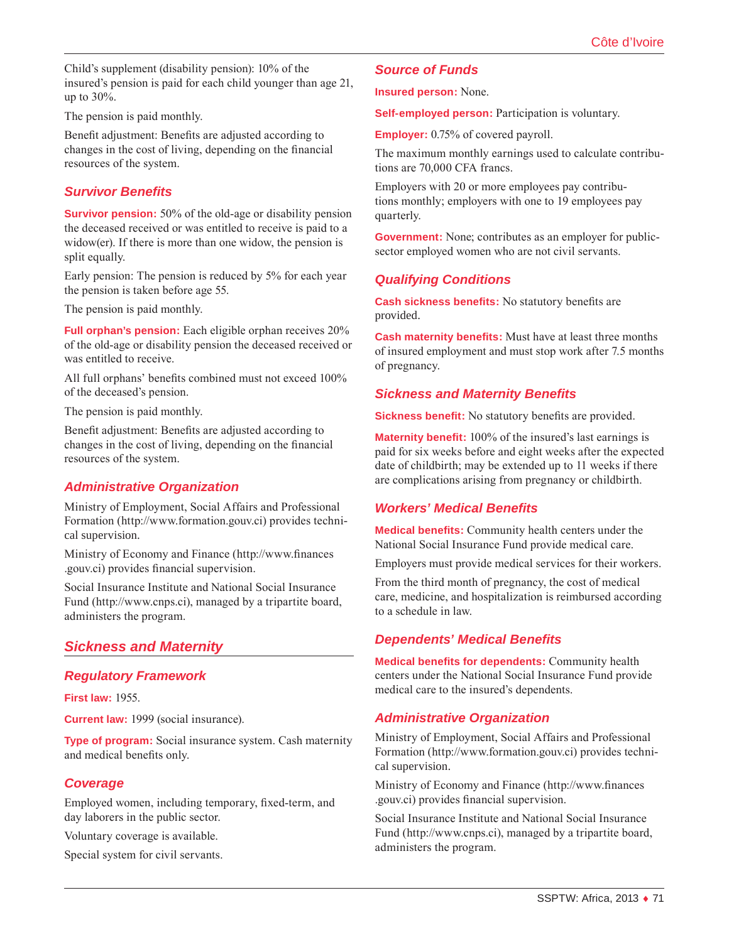Child's supplement (disability pension): 10% of the insured's pension is paid for each child younger than age 21, up to 30%.

The pension is paid monthly.

Benefit adjustment: Benefits are adjusted according to changes in the cost of living, depending on the financial resources of the system.

#### *Survivor Benefits*

**Survivor pension:** 50% of the old-age or disability pension the deceased received or was entitled to receive is paid to a widow(er). If there is more than one widow, the pension is split equally.

Early pension: The pension is reduced by 5% for each year the pension is taken before age 55.

The pension is paid monthly.

**Full orphan's pension:** Each eligible orphan receives 20% of the old-age or disability pension the deceased received or was entitled to receive.

All full orphans' benefits combined must not exceed 100% of the deceased's pension.

The pension is paid monthly.

Benefit adjustment: Benefits are adjusted according to changes in the cost of living, depending on the financial resources of the system.

## *Administrative Organization*

Ministry of Employment, Social Affairs and Professional Formation ([http://www.formation.gouv.ci\)](http://www.formation.gouv.ci) provides technical supervision.

Ministry of Economy and Finance ([http://www.finances](http://www.finances.gouv.ci) [.gouv.ci](http://www.finances.gouv.ci)) provides financial supervision.

Social Insurance Institute and National Social Insurance Fund ([http://www.cnps.ci\)](http://www.cnps.ci), managed by a tripartite board, administers the program.

# *Sickness and Maternity*

#### *Regulatory Framework*

**First law:** 1955.

**Current law:** 1999 (social insurance).

**Type of program:** Social insurance system. Cash maternity and medical benefits only.

## *Coverage*

Employed women, including temporary, fixed-term, and day laborers in the public sector.

Voluntary coverage is available.

Special system for civil servants.

#### *Source of Funds*

**Insured person:** None.

**Self-employed person:** Participation is voluntary.

**Employer:** 0.75% of covered payroll.

The maximum monthly earnings used to calculate contributions are 70,000 CFA francs.

Employers with 20 or more employees pay contributions monthly; employers with one to 19 employees pay quarterly.

**Government:** None; contributes as an employer for publicsector employed women who are not civil servants.

#### *Qualifying Conditions*

**Cash sickness benefits:** No statutory benefits are provided.

**Cash maternity benefits:** Must have at least three months of insured employment and must stop work after 7.5 months of pregnancy.

#### *Sickness and Maternity Benefits*

**Sickness benefit:** No statutory benefits are provided.

**Maternity benefit:** 100% of the insured's last earnings is paid for six weeks before and eight weeks after the expected date of childbirth; may be extended up to 11 weeks if there are complications arising from pregnancy or childbirth.

#### *Workers' Medical Benefits*

**Medical benefits:** Community health centers under the National Social Insurance Fund provide medical care.

Employers must provide medical services for their workers.

From the third month of pregnancy, the cost of medical care, medicine, and hospitalization is reimbursed according to a schedule in law.

#### *Dependents' Medical Benefits*

**Medical benefits for dependents:** Community health centers under the National Social Insurance Fund provide medical care to the insured's dependents.

#### *Administrative Organization*

Ministry of Employment, Social Affairs and Professional Formation ([http://www.formation.gouv.ci\)](http://www.formation.gouv.ci) provides technical supervision.

Ministry of Economy and Finance ([http://www.finances](http://www.finances.gouv.ci) [.gouv.ci](http://www.finances.gouv.ci)) provides financial supervision.

Social Insurance Institute and National Social Insurance Fund ([http://www.cnps.ci\)](http://www.cnps.ci), managed by a tripartite board, administers the program.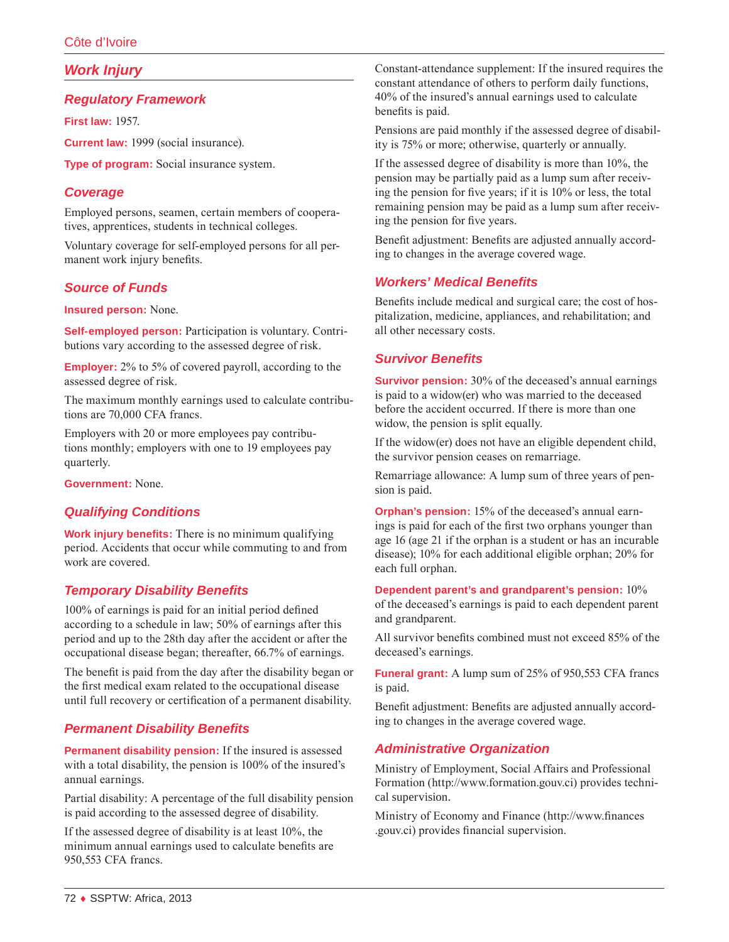# *Work Injury*

## *Regulatory Framework*

**First law:** 1957.

**Current law:** 1999 (social insurance).

**Type of program:** Social insurance system.

# *Coverage*

Employed persons, seamen, certain members of cooperatives, apprentices, students in technical colleges.

Voluntary coverage for self-employed persons for all permanent work injury benefits.

# *Source of Funds*

**Insured person:** None.

**Self-employed person:** Participation is voluntary. Contributions vary according to the assessed degree of risk.

**Employer:** 2% to 5% of covered payroll, according to the assessed degree of risk.

The maximum monthly earnings used to calculate contributions are 70,000 CFA francs.

Employers with 20 or more employees pay contributions monthly; employers with one to 19 employees pay quarterly.

**Government:** None.

# *Qualifying Conditions*

**Work injury benefits:** There is no minimum qualifying period. Accidents that occur while commuting to and from work are covered.

## *Temporary Disability Benefits*

100% of earnings is paid for an initial period defined according to a schedule in law; 50% of earnings after this period and up to the 28th day after the accident or after the occupational disease began; thereafter, 66.7% of earnings.

The benefit is paid from the day after the disability began or the first medical exam related to the occupational disease until full recovery or certification of a permanent disability.

# *Permanent Disability Benefits*

**Permanent disability pension:** If the insured is assessed with a total disability, the pension is 100% of the insured's annual earnings.

Partial disability: A percentage of the full disability pension is paid according to the assessed degree of disability.

If the assessed degree of disability is at least 10%, the minimum annual earnings used to calculate benefits are 950,553 CFA francs.

Constant-attendance supplement: If the insured requires the constant attendance of others to perform daily functions, 40% of the insured's annual earnings used to calculate benefits is paid.

Pensions are paid monthly if the assessed degree of disability is 75% or more; otherwise, quarterly or annually.

If the assessed degree of disability is more than 10%, the pension may be partially paid as a lump sum after receiving the pension for five years; if it is 10% or less, the total remaining pension may be paid as a lump sum after receiving the pension for five years.

Benefit adjustment: Benefits are adjusted annually according to changes in the average covered wage.

## *Workers' Medical Benefits*

Benefits include medical and surgical care; the cost of hospitalization, medicine, appliances, and rehabilitation; and all other necessary costs.

## *Survivor Benefits*

**Survivor pension:** 30% of the deceased's annual earnings is paid to a widow(er) who was married to the deceased before the accident occurred. If there is more than one widow, the pension is split equally.

If the widow(er) does not have an eligible dependent child, the survivor pension ceases on remarriage.

Remarriage allowance: A lump sum of three years of pension is paid.

**Orphan's pension:** 15% of the deceased's annual earnings is paid for each of the first two orphans younger than age 16 (age 21 if the orphan is a student or has an incurable disease); 10% for each additional eligible orphan; 20% for each full orphan.

#### **Dependent parent's and grandparent's pension:** 10%

of the deceased's earnings is paid to each dependent parent and grandparent.

All survivor benefits combined must not exceed 85% of the deceased's earnings.

**Funeral grant:** A lump sum of 25% of 950,553 CFA francs is paid.

Benefit adjustment: Benefits are adjusted annually according to changes in the average covered wage.

## *Administrative Organization*

Ministry of Employment, Social Affairs and Professional Formation ([http://www.formation.gouv.ci\)](http://www.formation.gouv.ci) provides technical supervision.

Ministry of Economy and Finance ([http://www.finances](http://www.finances.gouv.ci) [.gouv.ci](http://www.finances.gouv.ci)) provides financial supervision.